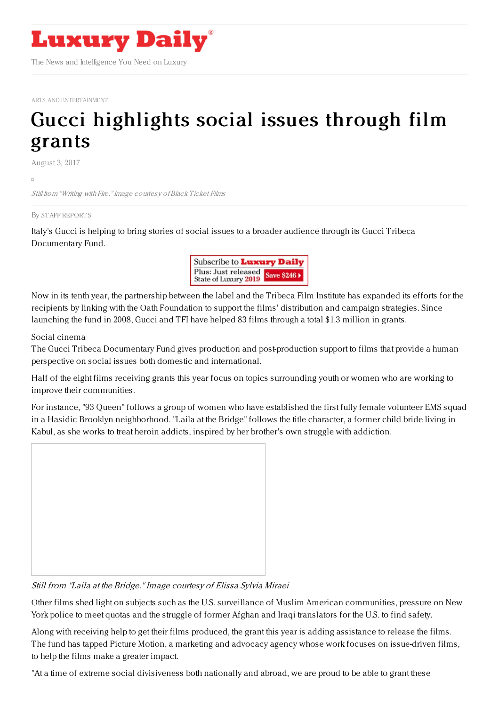

ARTS AND [ENTERTAINMENT](https://www.luxurydaily.com/category/sectors/arts-and-entertainment/)

## Gucci [highlights](https://www.luxurydaily.com/gucci-highlights-social-issues-through-film-grants/) social issues through film grants

August 3, 2017

Still from "Writing with Fire."Image courtesy ofBlack Ticket Films

## By STAFF [REPORT](file:///author/staff-reports) S

Italy's Gucci is helping to bring stories of social issues to a broader audience through its Gucci Tribeca Documentary Fund.



Now in its tenth year, the partnership between the label and the Tribeca Film Institute has expanded its efforts for the recipients by linking with the Oath Foundation to support the films' distribution and campaign strategies. Since launching the fund in 2008, Gucci and TFI have helped 83 films through a total \$1.3 million in grants.

## Social cinema

The Gucci Tribeca Documentary Fund gives production and post-production support to films that provide a human perspective on social issues both domestic and international.

Half of the eight films receiving grants this year focus on topics surrounding youth or women who are working to improve their communities.

For instance, "93 Queen" follows a group of women who have established the first fully female volunteer EMS squad in a Hasidic Brooklyn neighborhood. "Laila at the Bridge" follows the title character, a former child bride living in Kabul, as she works to treat heroin addicts, inspired by her brother's own struggle with addiction.



Still from "Laila at the Bridge." Image courtesy of Elissa Sylvia Miraei

Other films shed light on subjects such as the U.S. surveillance of Muslim American communities, pressure on New York police to meet quotas and the struggle of former Afghan and Iraqi translators for the U.S. to find safety.

Along with receiving help to get their films produced, the grant this year is adding assistance to release the films. The fund has tapped Picture Motion, a marketing and advocacy agency whose work focuses on issue-driven films, to help the films make a greater impact.

"At a time of extreme social divisiveness both nationally and abroad, we are proud to be able to grant these